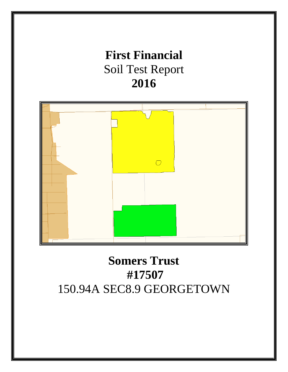# **First Financial** Soil Test Report **2016**



# **Somers Trust #17507** 150.94A SEC8.9 GEORGETOWN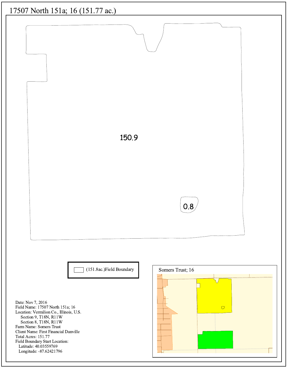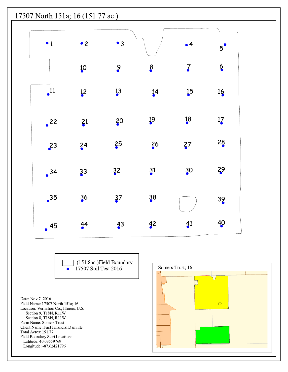

(151.8ac.) Field Boundary<br>17507 Soil Test 2016  $\bullet$ 

Date: Nov 7, 2016 Field Name: 17507 North 151a; 16 Location: Vermilion Co., Illinois, U.S. Section 9, T18N, R11W Section 8, T18N, R11W Farm Name: Somers Trust Client Name: First Financial Danville Total Acres: 151.77 Field Boundary Start Location: Latitude: 40.03559769 Longitude: -87.62421796

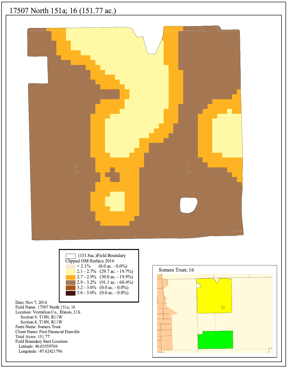## 17507 North 151a; 16 (151.77 ac.)



| (151.8ac.)Field Boundary<br>Clipped OM Surface 2016 |
|-----------------------------------------------------|
| $\leq 2.1\%$ (0.0 ac. - 0.0%)                       |
| $2.1 - 2.7\%$ (29.7 ac. - 19.7%)                    |
| 2.7 - 2.9% (30.0 ac. - 19.9%)                       |
| 2.9 - 3.2% (91.1 ac. - 60.4%)                       |
| 3.2 - 3.6% (0.0 ac. - 0.0%)                         |
| 3.6 - 5.0% (0.0 ac. - 0.0%)                         |
|                                                     |

Date: Nov 7, 2016 Field Name: 17507 North 151a; 16 Location: Vermilion Co., Illinois, U.S. Section 9, T18N, R11W Section 8, T18N, R11W Farm Name: Somers Trust Client Name: First Financial Danville Total Acres: 151.77 Field Boundary Start Location: Latitude: 40.03559769 Longitude: -87.62421796

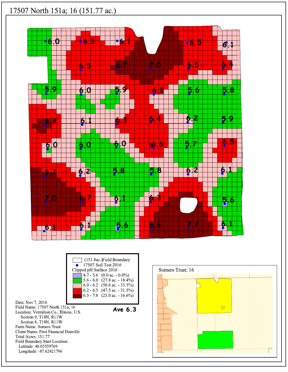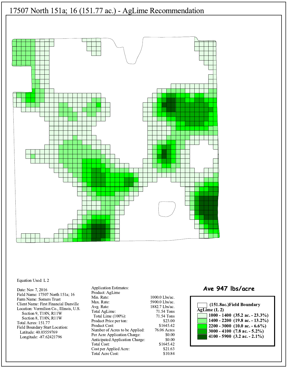

#### Equation Used: L 2

Date: Nov 7, 2016 Field Name: 17507 North 151a; 16 Farm Name: Somers Trust Client Name: First Financial Danville Location: Vermilion Co., Illinois, U.S. Section 9, T18N, R11W Section 8, T18N, R11W Total Acres: 151.77 Field Boundary Start Location: Latitude: 40.03559769 Longitude: -87.62421796

**Application Estimates:** Product: AgLime Min. Rate: Max. Rate: Avg. Rate: Total AgLime: Total Lime (100%): Product Price per ton: Product Cost: Number of Acres to be Applied: Per Acre Application Charge: Anticipated Application Charge: **Total Cost:** Cost per Applied Acre: Total Acre Cost:

1000.0 Lbs/ac. 5900.0 Lbs/ac. 1882.7 Lbs/ac. 71.54 Tons 71.54 Tons \$23.00 \$1645.42 76.06 Acres \$0.00 \$0.00 \$1645.42 \$21.63 \$10.84

### Ave 947 lbs/acre

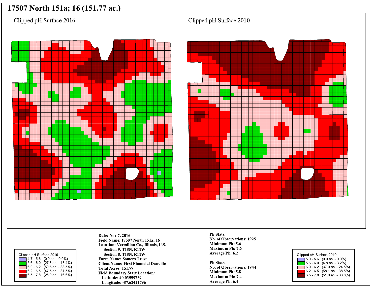## 17507 North 151a; 16 (151.77 ac.)

Clipped pH Surface 2016







Date: Nov 7, 2016 Field Name: 17507 North 151a; 16 Location: Vermilion Co., Illinois, U.S. Section 9, T18N, R11W Section 8, T18N, R11W **Farm Name: Somers Trust Client Name: First Financial Danville** Total Acres: 151.77 **Field Boundary Start Location:** Latitude: 40.03559769 Longitude: -87.62421796

**Ph Stats:** No. of Observations: 1925 Minimum Ph: 5.6 Maximum Ph: 7.6 **Average Ph: 6.2** 

**Ph Stats:** No. of Observations: 1944 Minimum Ph: 5.8 **Maximum Ph: 7.4** Average Ph: 6.4



Clipped pH Surface 2010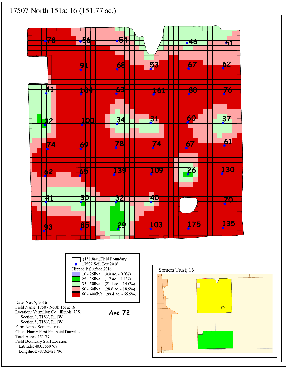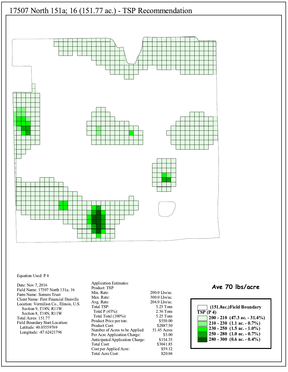

#### Equation Used: P 4

Date: Nov 7, 2016 Field Name: 17507 North 151a; 16 Farm Name: Somers Trust Client Name: First Financial Danville Location: Vermilion Co., Illinois, U.S. Section 9, T18N, R11W Section 8, T18N, R11W Total Acres: 151.77 Field Boundary Start Location: Latitude: 40.03559769 Longitude: -87.62421796

**Application Estimates:** Product: TSP Min. Rate: Max. Rate: Avg. Rate: Total TSP: Total P (45%): Total Total (100%): Product Price per ton: Product Cost: Number of Acres to be Applied: Per Acre Application Charge: Anticipated Application Charge: Total Cost: Cost per Applied Acre: Total Acre Cost:

200.0 Lbs/ac. 300.0 Lbs/ac. 204.0 Lbs/ac. 5.25 Tons 2.36 Tons 5.25 Tons \$550.00 \$2887.50 51.45 Acres \$3.00 \$154.35 \$3041.85 \$59.12 \$20.04

### Ave 70 lbs/acre

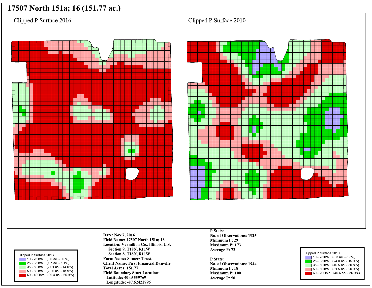## 17507 North 151a; 16 (151.77 ac.)

Clipped P Surface 2016







Date: Nov 7, 2016 Field Name: 17507 North 151a; 16 Location: Vermilion Co., Illinois, U.S. Section 9, T18N, R11W Section 8, T18N, R11W **Farm Name: Somers Trust Client Name: First Financial Danville** Total Acres: 151.77 **Field Boundary Start Location:** Latitude: 40.03559769 Longitude: -87.62421796

P Stats: No. of Observations: 1925 Minimum P: 29 Maximum P: 173 Average P: 72

P Stats: No. of Observations: 1944 Minimum P: 18 Maximum P: 100 **Average P: 50** 



Clipped P Surface 2010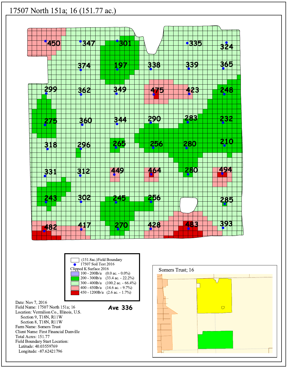

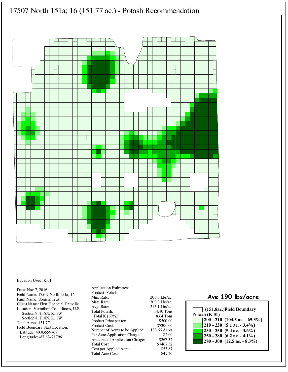

#### Equation Used: K 01

Date: Nov 7, 2016 Field Name: 17507 North 151a; 16 Farm Name: Somers Trust Client Name: First Financial Danville Location: Vermilion Co., Illinois, U.S. Section 9, T18N, R11W Section 8, T18N, R11W Total Acres: 151.77 Field Boundary Start Location: Latitude: 40.03559769 Longitude: -87.62421796

**Application Estimates:** Product: Potash Min. Rate: Max. Rate: Avg. Rate: **Total Potash:** Total K $(60\%)$ : Product Price per ton: Product Cost: Number of Acres to be Applied: Per Acre Application Charge: Anticipated Application Charge: **Total Cost:** Cost per Applied Acre: Total Acre Cost:

200.0 Lbs/ac. 300.0 Lbs/ac. 215.1 Lbs/ac. 14.40 Tons 8.64 Tons \$500.00 \$7200.00 133.66 Acres \$2.00 \$267.32 \$7467.32 \$55.87 \$49.20

### Ave 190 lbs/acre